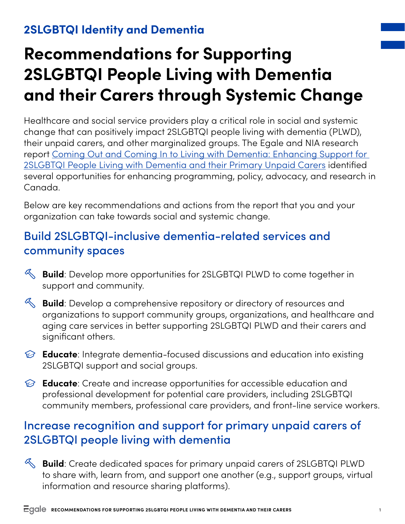#### **2SLGBTQI Identity and Dementia**

# **Recommendations for Supporting 2SLGBTQI People Living with Dementia and their Carers through Systemic Change**

Healthcare and social service providers play a critical role in social and systemic change that can positively impact 2SLGBTQI people living with dementia (PLWD), their unpaid carers, and other marginalized groups. The Egale and NIA research report [Coming Out and Coming In to Living with Dementia: Enhancing Support for](https://egale.ca/egale-in-action/2slgbtqi-dementia-care/#reports)  [2SLGBTQI People Living with Dementia and their Primary Unpaid Carers](https://egale.ca/egale-in-action/2slgbtqi-dementia-care/#reports) identified several opportunities for enhancing programming, policy, advocacy, and research in Canada.

Below are key recommendations and actions from the report that you and your organization can take towards social and systemic change.

### Build 2SLGBTQI-inclusive dementia-related services and community spaces

- **Build**: Develop more opportunities for 2SLGBTQI PLWD to come together in support and community.
- **Build**: Develop a comprehensive repository or directory of resources and organizations to support community groups, organizations, and healthcare and aging care services in better supporting 2SLGBTQI PLWD and their carers and significant others.
- **Educate**: Integrate dementia-focused discussions and education into existing 2SLGBTQI support and social groups.
- **Educate**: Create and increase opportunities for accessible education and professional development for potential care providers, including 2SLGBTQI community members, professional care providers, and front-line service workers.

### Increase recognition and support for primary unpaid carers of 2SLGBTQI people living with dementia

**Build**: Create dedicated spaces for primary unpaid carers of 2SLGBTQI PLWD to share with, learn from, and support one another (e.g., support groups, virtual information and resource sharing platforms).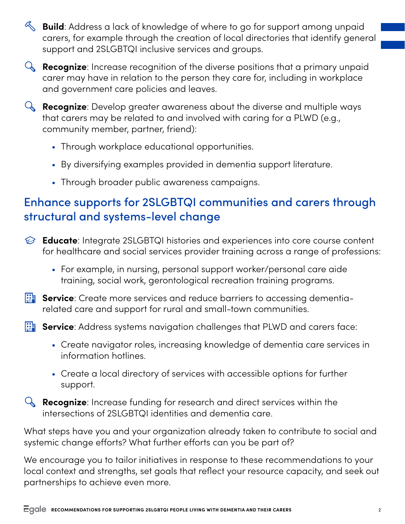**Build**: Address a lack of knowledge of where to go for support among unpaid carers, for example through the creation of local directories that identify general support and 2SLGBTQI inclusive services and groups.



**Recognize**: Develop greater awareness about the diverse and multiple ways that carers may be related to and involved with caring for a PLWD (e.g., community member, partner, friend):

- Through workplace educational opportunities.
- By diversifying examples provided in dementia support literature.
- Through broader public awareness campaigns.

## Enhance supports for 2SLGBTQI communities and carers through structural and systems-level change

- **Educate**: Integrate 2SLGBTQI histories and experiences into core course content for healthcare and social services provider training across a range of professions:
	- For example, in nursing, personal support worker/personal care aide training, social work, gerontological recreation training programs.
- **Service**: Create more services and reduce barriers to accessing dementiarelated care and support for rural and small-town communities.

**Service**: Address systems navigation challenges that PLWD and carers face:

- Create navigator roles, increasing knowledge of dementia care services in information hotlines.
- Create a local directory of services with accessible options for further support.

**Recognize**: Increase funding for research and direct services within the intersections of 2SLGBTQI identities and dementia care.

What steps have you and your organization already taken to contribute to social and systemic change efforts? What further efforts can you be part of?

We encourage you to tailor initiatives in response to these recommendations to your local context and strengths, set goals that reflect your resource capacity, and seek out partnerships to achieve even more.